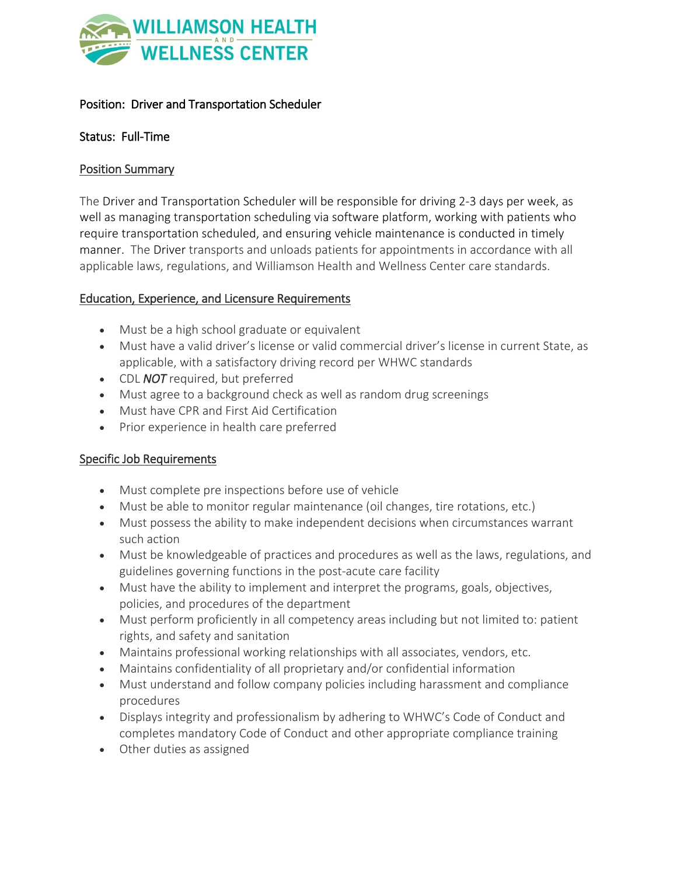

# Position: Driver and Transportation Scheduler

## Status: Full-Time

### Position Summary

The Driver and Transportation Scheduler will be responsible for driving 2-3 days per week, as well as managing transportation scheduling via software platform, working with patients who require transportation scheduled, and ensuring vehicle maintenance is conducted in timely manner. The Driver transports and unloads patients for appointments in accordance with all applicable laws, regulations, and Williamson Health and Wellness Center care standards.

## Education, Experience, and Licensure Requirements

- Must be a high school graduate or equivalent
- Must have a valid driver's license or valid commercial driver's license in current State, as applicable, with a satisfactory driving record per WHWC standards
- CDL *NOT* required, but preferred
- Must agree to a background check as well as random drug screenings
- Must have CPR and First Aid Certification
- Prior experience in health care preferred

## Specific Job Requirements

- Must complete pre inspections before use of vehicle
- Must be able to monitor regular maintenance (oil changes, tire rotations, etc.)
- Must possess the ability to make independent decisions when circumstances warrant such action
- Must be knowledgeable of practices and procedures as well as the laws, regulations, and guidelines governing functions in the post-acute care facility
- Must have the ability to implement and interpret the programs, goals, objectives, policies, and procedures of the department
- Must perform proficiently in all competency areas including but not limited to: patient rights, and safety and sanitation
- Maintains professional working relationships with all associates, vendors, etc.
- Maintains confidentiality of all proprietary and/or confidential information
- Must understand and follow company policies including harassment and compliance procedures
- Displays integrity and professionalism by adhering to WHWC's Code of Conduct and completes mandatory Code of Conduct and other appropriate compliance training
- Other duties as assigned